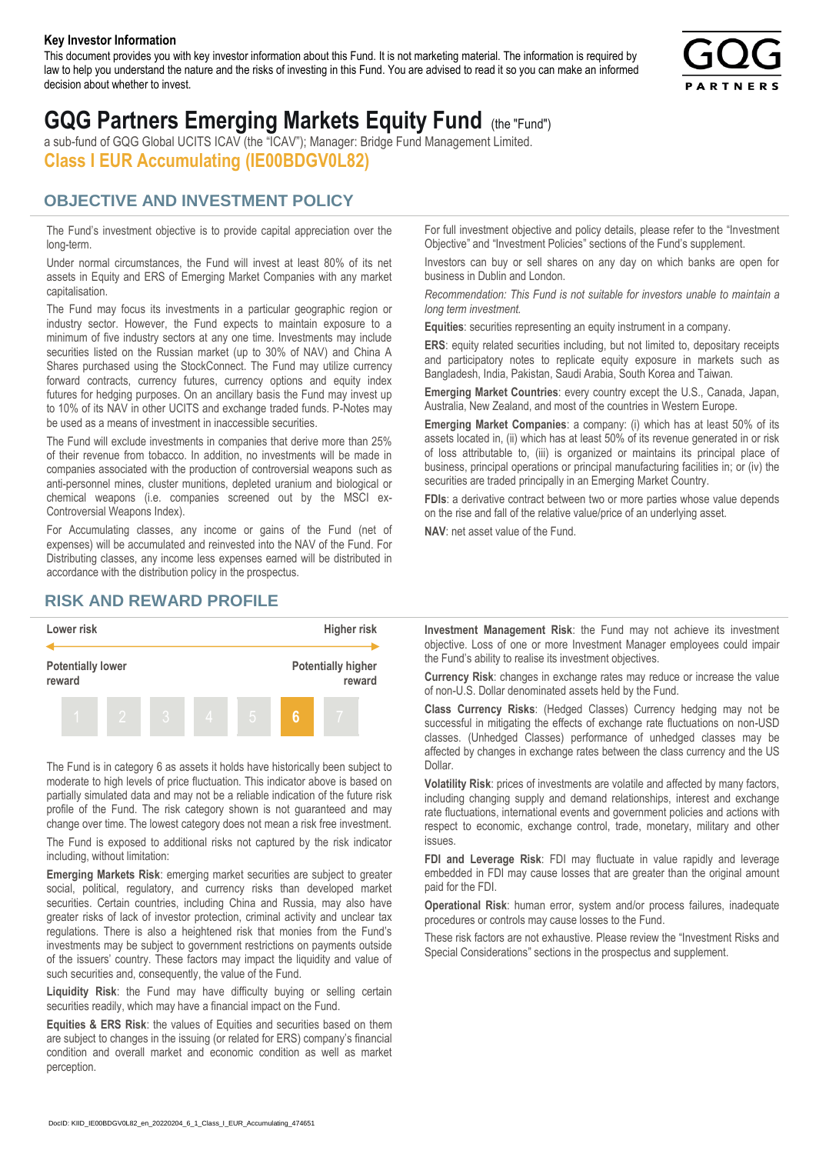#### **Key Investor Information**

This document provides you with key investor information about this Fund. It is not marketing material. The information is required by law to help you understand the nature and the risks of investing in this Fund. You are advised to read it so you can make an informed decision about whether to invest.



# **GQG Partners Emerging Markets Equity Fund** (the "Fund")

a sub-fund of GQG Global UCITS ICAV (the "ICAV"); Manager: Bridge Fund Management Limited. **Class I EUR Accumulating (IE00BDGV0L82)**

### **OBJECTIVE AND INVESTMENT POLICY**

The Fund's investment objective is to provide capital appreciation over the long-term.

Under normal circumstances, the Fund will invest at least 80% of its net assets in Equity and ERS of Emerging Market Companies with any market capitalisation.

The Fund may focus its investments in a particular geographic region or industry sector. However, the Fund expects to maintain exposure to a minimum of five industry sectors at any one time. Investments may include securities listed on the Russian market (up to 30% of NAV) and China A Shares purchased using the StockConnect. The Fund may utilize currency forward contracts, currency futures, currency options and equity index futures for hedging purposes. On an ancillary basis the Fund may invest up to 10% of its NAV in other UCITS and exchange traded funds. P-Notes may be used as a means of investment in inaccessible securities.

The Fund will exclude investments in companies that derive more than 25% of their revenue from tobacco. In addition, no investments will be made in companies associated with the production of controversial weapons such as anti-personnel mines, cluster munitions, depleted uranium and biological or chemical weapons (i.e. companies screened out by the MSCI ex-Controversial Weapons Index).

For Accumulating classes, any income or gains of the Fund (net of expenses) will be accumulated and reinvested into the NAV of the Fund. For Distributing classes, any income less expenses earned will be distributed in accordance with the distribution policy in the prospectus.

## **RISK AND REWARD PROFILE**



The Fund is in category 6 as assets it holds have historically been subject to moderate to high levels of price fluctuation. This indicator above is based on partially simulated data and may not be a reliable indication of the future risk profile of the Fund. The risk category shown is not guaranteed and may change over time. The lowest category does not mean a risk free investment.

The Fund is exposed to additional risks not captured by the risk indicator including, without limitation:

**Emerging Markets Risk**: emerging market securities are subject to greater social, political, regulatory, and currency risks than developed market securities. Certain countries, including China and Russia, may also have greater risks of lack of investor protection, criminal activity and unclear tax regulations. There is also a heightened risk that monies from the Fund's investments may be subject to government restrictions on payments outside of the issuers' country. These factors may impact the liquidity and value of such securities and, consequently, the value of the Fund.

**Liquidity Risk**: the Fund may have difficulty buying or selling certain securities readily, which may have a financial impact on the Fund.

**Equities & ERS Risk**: the values of Equities and securities based on them are subject to changes in the issuing (or related for ERS) company's financial condition and overall market and economic condition as well as market perception.

For full investment objective and policy details, please refer to the "Investment Objective" and "Investment Policies" sections of the Fund's supplement.

Investors can buy or sell shares on any day on which banks are open for business in Dublin and London.

*Recommendation: This Fund is not suitable for investors unable to maintain a long term investment.*

**Equities**: securities representing an equity instrument in a company.

**ERS:** equity related securities including, but not limited to, depositary receipts and participatory notes to replicate equity exposure in markets such as Bangladesh, India, Pakistan, Saudi Arabia, South Korea and Taiwan.

**Emerging Market Countries**: every country except the U.S., Canada, Japan, Australia, New Zealand, and most of the countries in Western Europe.

**Emerging Market Companies**: a company: (i) which has at least 50% of its assets located in, (ii) which has at least 50% of its revenue generated in or risk of loss attributable to, (iii) is organized or maintains its principal place of business, principal operations or principal manufacturing facilities in; or (iv) the securities are traded principally in an Emerging Market Country.

**FDIs**: a derivative contract between two or more parties whose value depends on the rise and fall of the relative value/price of an underlying asset.

**NAV**: net asset value of the Fund.

**Investment Management Risk**: the Fund may not achieve its investment objective. Loss of one or more Investment Manager employees could impair the Fund's ability to realise its investment objectives.

**Currency Risk**: changes in exchange rates may reduce or increase the value of non-U.S. Dollar denominated assets held by the Fund.

**Class Currency Risks**: (Hedged Classes) Currency hedging may not be successful in mitigating the effects of exchange rate fluctuations on non-USD classes. (Unhedged Classes) performance of unhedged classes may be affected by changes in exchange rates between the class currency and the US Dollar.

**Volatility Risk**: prices of investments are volatile and affected by many factors, including changing supply and demand relationships, interest and exchange rate fluctuations, international events and government policies and actions with respect to economic, exchange control, trade, monetary, military and other issues.

**FDI and Leverage Risk**: FDI may fluctuate in value rapidly and leverage embedded in FDI may cause losses that are greater than the original amount paid for the FDI.

**Operational Risk**: human error, system and/or process failures, inadequate procedures or controls may cause losses to the Fund.

These risk factors are not exhaustive. Please review the "Investment Risks and Special Considerations" sections in the prospectus and supplement.